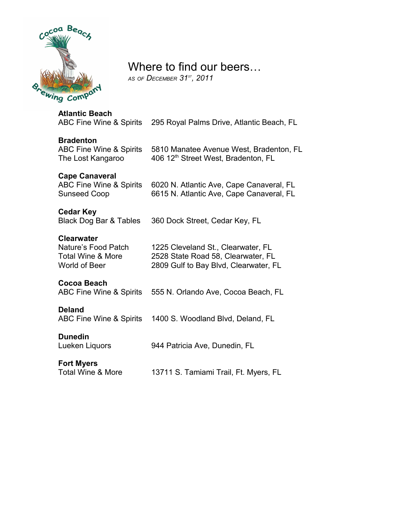

# Where to find our beers…

*AS OF DECEMBER 31ST, 2011*

| <b>Atlantic Beach</b><br>ABC Fine Wine & Spirits                                          | 295 Royal Palms Drive, Atlantic Beach, FL                                                                         |
|-------------------------------------------------------------------------------------------|-------------------------------------------------------------------------------------------------------------------|
| <b>Bradenton</b><br><b>ABC Fine Wine &amp; Spirits</b><br>The Lost Kangaroo               | 5810 Manatee Avenue West, Bradenton, FL<br>406 12 <sup>th</sup> Street West, Bradenton, FL                        |
| <b>Cape Canaveral</b><br><b>ABC Fine Wine &amp; Spirits</b><br><b>Sunseed Coop</b>        | 6020 N. Atlantic Ave, Cape Canaveral, FL<br>6615 N. Atlantic Ave, Cape Canaveral, FL                              |
| <b>Cedar Key</b><br>Black Dog Bar & Tables                                                | 360 Dock Street, Cedar Key, FL                                                                                    |
| <b>Clearwater</b><br>Nature's Food Patch<br><b>Total Wine &amp; More</b><br>World of Beer | 1225 Cleveland St., Clearwater, FL<br>2528 State Road 58, Clearwater, FL<br>2809 Gulf to Bay Blvd, Clearwater, FL |
| Cocoa Beach<br>ABC Fine Wine & Spirits                                                    | 555 N. Orlando Ave, Cocoa Beach, FL                                                                               |
| <b>Deland</b><br>ABC Fine Wine & Spirits                                                  | 1400 S. Woodland Blvd, Deland, FL                                                                                 |
| <b>Dunedin</b><br>Lueken Liquors                                                          | 944 Patricia Ave, Dunedin, FL                                                                                     |
| <b>Fort Myers</b><br><b>Total Wine &amp; More</b>                                         | 13711 S. Tamiami Trail, Ft. Myers, FL                                                                             |
|                                                                                           |                                                                                                                   |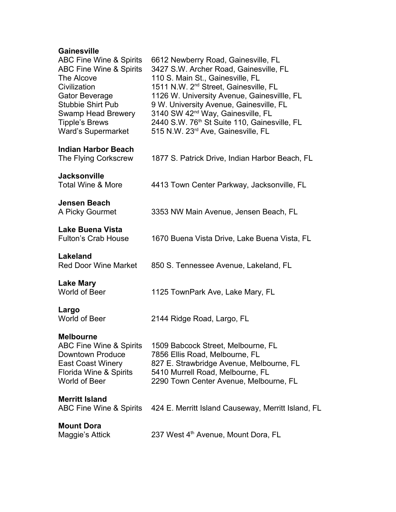## **Gainesville**

| <b>ABC Fine Wine &amp; Spirits</b><br>ABC Fine Wine & Spirits<br>The Alcove<br>Civilization<br>Gator Beverage<br><b>Stubbie Shirt Pub</b><br>Swamp Head Brewery<br><b>Tipple's Brews</b><br><b>Ward's Supermarket</b> | 6612 Newberry Road, Gainesville, FL<br>3427 S.W. Archer Road, Gainesville, FL<br>110 S. Main St., Gainesville, FL<br>1511 N.W. 2 <sup>nd</sup> Street, Gainesville, FL<br>1126 W. University Avenue, Gainesvillle, FL<br>9 W. University Avenue, Gainesville, FL<br>3140 SW 42 <sup>nd</sup> Way, Gainesville, FL<br>2440 S.W. 76 <sup>th</sup> St Suite 110, Gainesville, FL<br>515 N.W. 23 <sup>rd</sup> Ave, Gainesville, FL |
|-----------------------------------------------------------------------------------------------------------------------------------------------------------------------------------------------------------------------|---------------------------------------------------------------------------------------------------------------------------------------------------------------------------------------------------------------------------------------------------------------------------------------------------------------------------------------------------------------------------------------------------------------------------------|
| <b>Indian Harbor Beach</b><br>The Flying Corkscrew                                                                                                                                                                    | 1877 S. Patrick Drive, Indian Harbor Beach, FL                                                                                                                                                                                                                                                                                                                                                                                  |
| <b>Jacksonville</b><br>Total Wine & More                                                                                                                                                                              | 4413 Town Center Parkway, Jacksonville, FL                                                                                                                                                                                                                                                                                                                                                                                      |
| <b>Jensen Beach</b><br>A Picky Gourmet                                                                                                                                                                                | 3353 NW Main Avenue, Jensen Beach, FL                                                                                                                                                                                                                                                                                                                                                                                           |
| <b>Lake Buena Vista</b><br><b>Fulton's Crab House</b>                                                                                                                                                                 | 1670 Buena Vista Drive, Lake Buena Vista, FL                                                                                                                                                                                                                                                                                                                                                                                    |
| Lakeland<br><b>Red Door Wine Market</b>                                                                                                                                                                               | 850 S. Tennessee Avenue, Lakeland, FL                                                                                                                                                                                                                                                                                                                                                                                           |
| <b>Lake Mary</b><br>World of Beer                                                                                                                                                                                     | 1125 TownPark Ave, Lake Mary, FL                                                                                                                                                                                                                                                                                                                                                                                                |
| Largo<br>World of Beer                                                                                                                                                                                                | 2144 Ridge Road, Largo, FL                                                                                                                                                                                                                                                                                                                                                                                                      |
| <b>Melbourne</b><br>Downtown Produce<br>East Coast Winery<br>Florida Wine & Spirits<br>World of Beer                                                                                                                  | ABC Fine Wine & Spirits 1509 Babcock Street, Melbourne, FL<br>7856 Ellis Road, Melbourne, FL<br>827 E. Strawbridge Avenue, Melbourne, FL<br>5410 Murrell Road, Melbourne, FL<br>2290 Town Center Avenue, Melbourne, FL                                                                                                                                                                                                          |
| <b>Merritt Island</b><br>ABC Fine Wine & Spirits                                                                                                                                                                      | 424 E. Merritt Island Causeway, Merritt Island, FL                                                                                                                                                                                                                                                                                                                                                                              |
| <b>Mount Dora</b><br>Maggie's Attick                                                                                                                                                                                  | 237 West 4 <sup>th</sup> Avenue, Mount Dora, FL                                                                                                                                                                                                                                                                                                                                                                                 |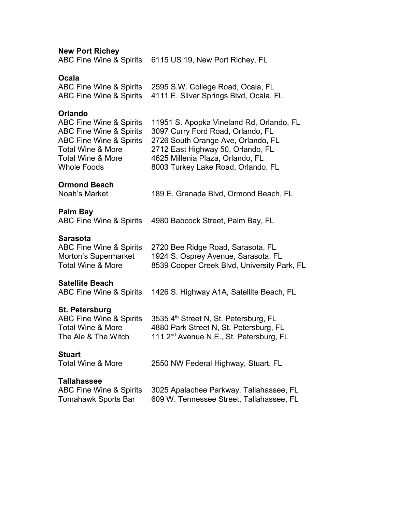**New Port Richey**

ABC Fine Wine & Spirits 6115 US 19, New Port Richey, FL

#### **Ocala**

| ABC Fine Wine & Spirits 2595 S.W. College Road, Ocala, FL      |
|----------------------------------------------------------------|
| ABC Fine Wine & Spirits 4111 E. Silver Springs Blvd, Ocala, FL |

#### **Orlando**

| <b>ABC Fine Wine &amp; Spirits</b> | 11951 S. Apopka Vineland Rd, Orlando, FL |
|------------------------------------|------------------------------------------|
| <b>ABC Fine Wine &amp; Spirits</b> | 3097 Curry Ford Road, Orlando, FL        |
| <b>ABC Fine Wine &amp; Spirits</b> | 2726 South Orange Ave, Orlando, FL       |
| <b>Total Wine &amp; More</b>       | 2712 East Highway 50, Orlando, FL        |
| <b>Total Wine &amp; More</b>       | 4625 Millenia Plaza, Orlando, FL         |
| <b>Whole Foods</b>                 | 8003 Turkey Lake Road, Orlando, FL       |
|                                    |                                          |

#### **Ormond Beach**

Noah's Market 189 E. Granada Blvd, Ormond Beach, FL

#### **Palm Bay**

ABC Fine Wine & Spirits 4980 Babcock Street, Palm Bay, FL

#### **Sarasota**

| ABC Fine Wine & Spirits | 2720 Bee Ridge Road, Sarasota, FL           |
|-------------------------|---------------------------------------------|
| Morton's Supermarket    | 1924 S. Osprey Avenue, Sarasota, FL         |
| Total Wine & More       | 8539 Cooper Creek Blvd, University Park, FL |

#### **Satellite Beach**

ABC Fine Wine & Spirits 1426 S. Highway A1A, Satellite Beach, FL

#### **St. Petersburg**

| ABC Fine Wine & Spirits | 3535 4 <sup>th</sup> Street N, St. Petersburg, FL   |
|-------------------------|-----------------------------------------------------|
| Total Wine & More       | 4880 Park Street N, St. Petersburg, FL              |
| The Ale & The Witch     | 111 2 <sup>nd</sup> Avenue N.E., St. Petersburg, FL |

**Stuart**<br>Total Wine & More 2550 NW Federal Highway, Stuart, FL

#### **Tallahassee**

|                     | ABC Fine Wine & Spirits 3025 Apalachee Parkway, Tallahassee, FL |
|---------------------|-----------------------------------------------------------------|
| Tomahawk Sports Bar | 609 W. Tennessee Street, Tallahassee, FL                        |